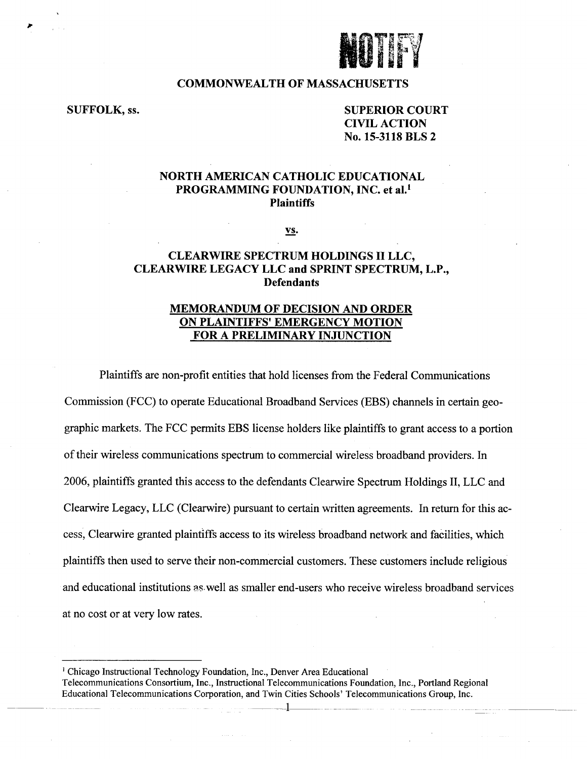

#### **COMMONWEALTH OF MASSACHUSETTS**

# **SUFFOLK, ss. SUPERIOR COURT CIVIL ACTION No. 15-3118 BLS 2**

## **NORTH AMERICAN CATHOLIC EDUCATIONAL PROGRAMMING FOUNDATION, INC. et al.<sup>1</sup> Plaintiffs**

**vs.** 

### **CLEARWIRE SPECTRUM HOLDINGS II LLC, CLEARWIRE LEGACY LLC and SPRINT SPECTRUM, L.P., Defendants**

## **MEMORANDUM OF DECISION AND ORDER ON PLAINTIFFS' EMERGENCY MOTION FOR A PRELIMINARY INJUNCTION**

Plaintiffs are non-profit entities that hold licenses from the Federal Communications Commission (FCC) to operate Educational Broadband Services (EBS) channels in certain geographic markets. The FCC permits EBS license holders like plaintiffs to grant access to a portion of their wireless communications spectrum to commercial wireless broadband providers. In 2006, plaintiffs granted this access to the defendants Clearwire Spectrum Holdings II, LLC and Clearwire Legacy, LLC (Clearwire) pursuant to certain written agreements. In return for this access, Clearwire granted plaintiffs access to its wireless broadband network and facilities, which plaintiffs then used to serve their non-commercial customers. These customers include religious and educational institutions as well as smaller end-users who receive wireless broadband services at no cost or at very low rates.

**' Chicago Instructional Technology Foundation, Inc., Denver Area Educational** 

**Telecommunications Consortium, Inc., Instructional Telecommunications Foundation, Inc., Portland Regional Educational Telecommunications Corporation, and Twin Cities Schools' Telecommunications Group, Inc.**  - - 4 ...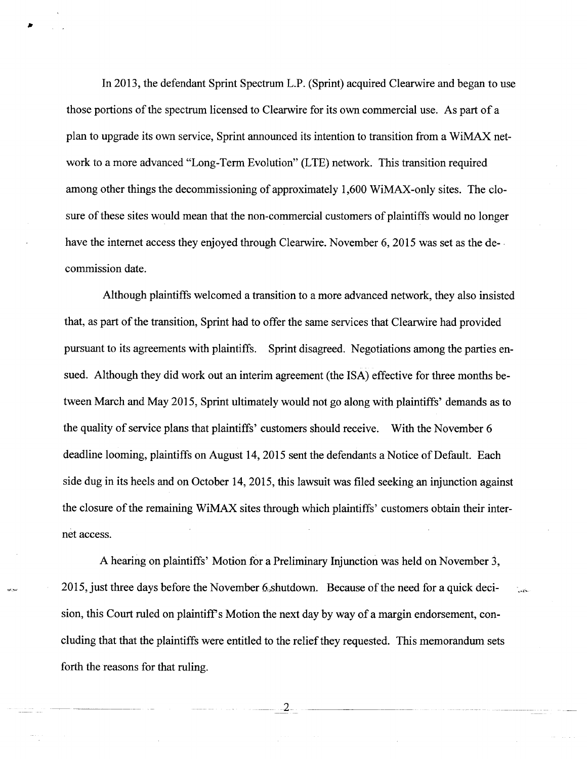In 2013, the defendant Sprint Spectrum L.P. (Sprint) acquired Clearwire and began to use those portions of the spectrum licensed to Clearwire for its own commercial use. As part of a plan to upgrade its own service, Sprint announced its intention to transition from a WiMAX network to a more advanced "Long-Term Evolution" (LTE) network. This transition required among other things the decommissioning of approximately 1,600 WiMAX-only sites. The closure of these sites would mean that the non-commercial customers of plaintiffs would no longer have the internet access they enjoyed through Clearwire. November 6, 2015 was set as the decommission date.

Although plaintiffs welcomed a transition to a more advanced network, they also insisted that, as part of the transition, Sprint had to offer the same services that Clearwire had provided pursuant to its agreements with plaintiffs. Sprint disagreed. Negotiations among the parties ensued. Although they did work out an interim agreement (the ISA) effective for three months between March and May 2015, Sprint ultimately would not go along with plaintiffs' demands as to the quality of service plans that plaintiffs' customers should receive. With the November 6 deadline looming, plaintiffs on August 14, 2015 sent the defendants a Notice of Default. Each side dug in its heels and on October 14, 2015, this lawsuit was filed seeking an injunction against the closure of the remaining WiMAX sites through which plaintiffs' customers obtain their internet access.

A hearing on plaintiffs' Motion for a Preliminary Injunction was held on November 3, 2015, just three days before the November 6, shutdown. Because of the need for a quick decision, this Court ruled on plaintiff's Motion the next day by way of a margin endorsement, concluding that that the plaintiffs were entitled to the relief they requested. This memorandum sets forth the reasons for that ruling.

 $2-$ 

حامدا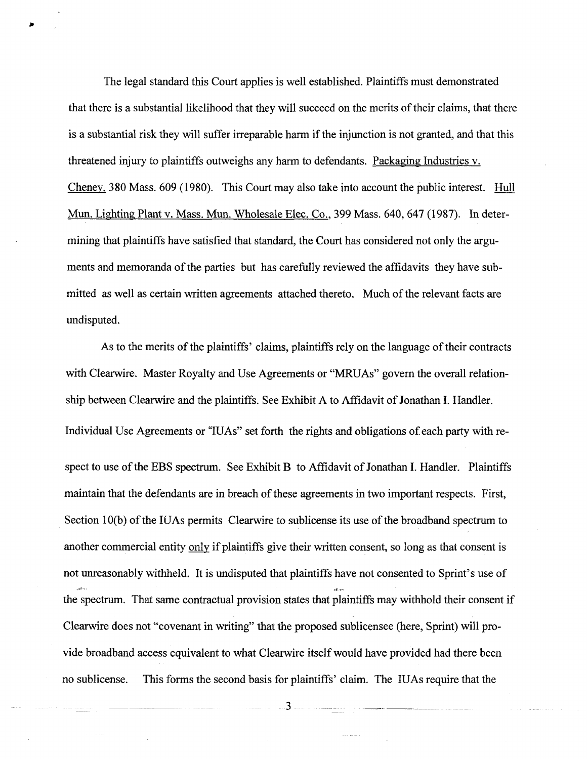The legal standard this Court applies is well established. Plaintiffs must demonstrated that there is a substantial likelihood that they will succeed on the merits of their claims, that there is a substantial risk they will suffer irreparable harm if the injunction is not granted, and that this threatened injury to plaintiffs outweighs any harm to defendants. Packaging Industries v. Cheney. 380 Mass. 609 (1980). This Court may also take into account the public interest. Hull Mun. Lighting Plant v. Mass. Mun. Wholesale Elec. Co., 399 Mass. 640, 647 (1987). In determining that plaintiffs have satisfied that standard, the Court has considered not only the arguments and memoranda of the parties but has carefully reviewed the affidavits they have submitted as well as certain written agreements attached thereto. Much of the relevant facts are undisputed.

As to the merits of the plaintiffs' claims, plaintiffs rely on the language of their contracts with Clearwire. Master Royalty and Use Agreements or "MRUAs" govern the overall relationship between Clearwire and the plaintiffs. See Exhibit A to Affidavit of Jonathan I. Handler. Individual Use Agreements or "IUAs" set forth the rights and obligations of each party with respect to use of the EBS spectrum. See Exhibit B to Affidavit of Jonathan I. Handler. Plaintiffs maintain that the defendants are in breach of these agreements in two important respects. First, Section 10(b) of the IUAs permits Clearwire to sublicense its use of the broadband spectrum to another commercial entity only if plaintiffs give their written consent, so long as that consent is not unreasonably withheld. It is undisputed that plaintiffs have not consented to Sprint's use of the spectrum. That same contractual provision states that plaintiffs may withhold their consent if Clearwire does not "covenant in writing" that the proposed sublicensee (here, Sprint) will provide broadband access equivalent to what Clearwire itself would have provided had there been no sublicense. This forms the second basis for plaintiffs' claim. The IUAs require that the

 $3$   $\overline{\phantom{a}}$ 

 $\sim 10^{-10}$  and  $\sim 10^{-10}$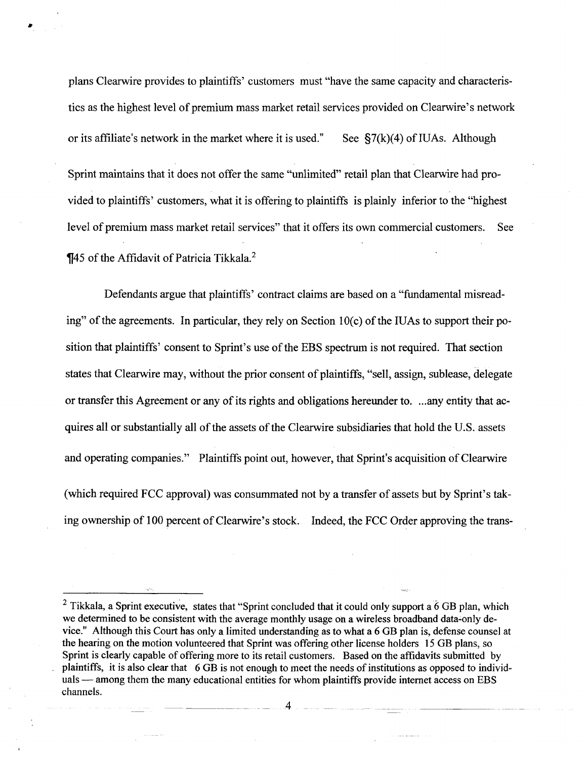plans Clearwire provides to plaintiffs' customers must "have the same capacity and characteristics as the highest level of premium mass market retail services provided on Clearwire's network or its affiliate's network in the market where it is used." See  $\S7(k)(4)$  of IUAs. Although Sprint maintains that it does not offer the same "unlimited" retail plan that Clearwire had provided to plaintiffs' customers, what it is offering to plaintiffs is plainly inferior to the "highest level of premium mass market retail services" that it offers its own commercial customers. See **¶45 of the Affidavit of Patricia Tikkala.**<sup>2</sup>

Defendants argue that plaintiffs' contract claims are based on a "fundamental misreading" of the agreements. In particular, they rely on Section 10(c) of the IUAs to support their position that plaintiffs' consent to Sprint's use of the EBS spectrum is not required. That section states that Clearwire may, without the prior consent of plaintiffs, "sell, assign, sublease, delegate or transfer this Agreement or any of its rights and obligations hereunder to. ...any entity that acquires all or substantially all of the assets of the Clearwire subsidiaries that hold the U.S. assets and operating companies." Plaintiffs point out, however, that Sprint's acquisition of Clearwire (which required FCC approval) was consummated not by a transfer of assets but by Sprint's taking ownership of 100 percent of Clearwire's stock. Indeed, the FCC Order approving the trans-

<sup>&</sup>lt;sup>2</sup> Tikkala, a Sprint executive, states that "Sprint concluded that it could only support a  $6$  GB plan, which we determined to be consistent with the average monthly usage oh a wireless broadband data-only device." Although this Court has only a limited understanding as to what a 6 GB plan is, defense counsel at the hearing on the motion volunteered that Sprint was offering other license holders 15 GB plans, so Sprint is clearly capable of offering more to its retail customers. Based on the affidavits submitted by plaintiffs, it is also clear that 6 GB is not enough to meet the needs of institutions as opposed to individuals — among them the many educational entities for whom plaintiffs provide internet access on EBS channels.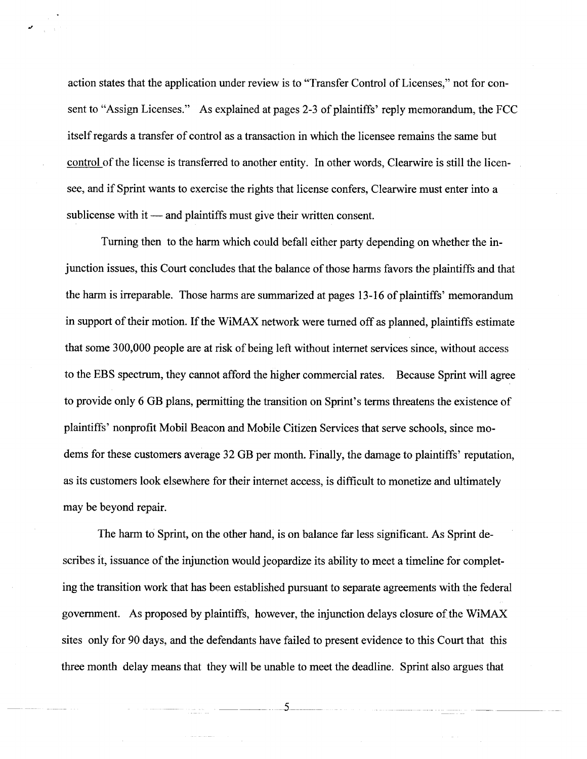action states that the application under review is to "Transfer Control of Licenses," not for consent to "Assign Licenses." As explained at pages 2-3 of plaintiffs' reply memorandum, the FCC itself regards a transfer of control as a transaction in which the licensee remains the same but control of the license is transferred to another entity. In other words, Clearwire is still the licensee, and if Sprint wants to exercise the rights that license confers, Clearwire must enter into a sublicense with it — and plaintiffs must give their written consent.

Turning then to the harm which could befall either party depending on whether the injunction issues, this Court concludes that the balance of those harms favors the plaintiffs and that the harm is irreparable. Those harms are summarized at pages 13-16 of plaintiffs' memorandum in support of their motion. If the WiMAX network were turned off as planned, plaintiffs estimate that some 300,000 people are at risk of being left without internet services since, without access to the EBS spectrum, they cannot afford the higher commercial rates. Because Sprint will agree to provide only 6 GB plans, permitting the transition on Sprint's terms threatens the existence of plaintiffs' nonprofit Mobil Beacon and Mobile Citizen Services that serve schools, since modems for these customers average 32 GB per month. Finally, the damage to plaintiffs' reputation, as its customers look elsewhere for their internet access, is difficult to monetize and ultimately may be beyond repair.

The harm to Sprint, on the other hand, is on balance far less significant. As Sprint describes it, issuance of the injunction would jeopardize its ability to meet a timeline for completing the transition work that has been established pursuant to separate agreements with the federal government. As proposed by plaintiffs, however, the injunction delays closure of the WiMAX sites only for 90 days, and the defendants have failed to present evidence to this Court that this three month delay means that they will be unable to meet the deadline. Sprint also argues that

5

كالمنابذ والمتعادية